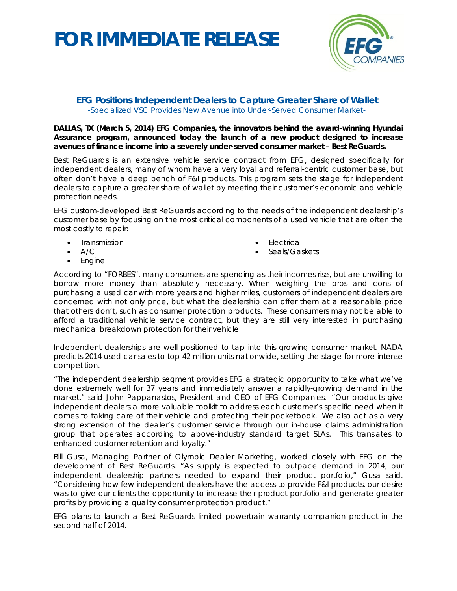## *FOR IMMEDIATE RELEASE*



## **EFG Positions Independent Dealers to Capture Greater Share of Wallet** *-Specialized VSC Provides New Avenue into Under-Served Consumer Market-*

**DALLAS, TX (March 5, 2014) EFG Companies, the innovators behind the award-winning Hyundai Assurance program, announced today the launch of a new product designed to increase avenues of finance income into a severely under-served consumer market – Best ReGuards.**

Best ReGuards is an extensive vehicle service contract from EFG, designed specifically for independent dealers, many of whom have a very loyal and referral-centric customer base, but often don't have a deep bench of F&I products. This program sets the stage for independent dealers to capture a greater share of wallet by meeting their customer's economic and vehicle protection needs.

EFG custom-developed Best ReGuards according to the needs of the independent dealership's customer base by focusing on the most critical components of a used vehicle that are often the most costly to repair:

- Transmission
- $A/C$
- **Electrical**
- Seals/Gaskets

• Engine

According to "FORBES", many consumers are spending as their incomes rise, but are unwilling to borrow more money than absolutely necessary. When weighing the pros and cons of purchasing a used car with more years and higher miles, customers of independent dealers are concerned with not only price, but what the dealership can offer them at a reasonable price that others don't, such as consumer protection products. These consumers may not be able to afford a traditional vehicle service contract, but they are still very interested in purchasing mechanical breakdown protection for their vehicle.

Independent dealerships are well positioned to tap into this growing consumer market. NADA predicts 2014 used car sales to top 42 million units nationwide, setting the stage for more intense competition.

"The independent dealership segment provides EFG a strategic opportunity to take what we've done extremely well for 37 years and immediately answer a rapidly-growing demand in the market," said John Pappanastos, President and CEO of EFG Companies. "Our products give independent dealers a more valuable toolkit to address each customer's specific need when it comes to taking care of their vehicle and protecting their pocketbook. We also act as a very strong extension of the dealer's customer service through our in-house claims administration group that operates according to above-industry standard target SLAs. This translates to enhanced customer retention and loyalty."

Bill Gusa, Managing Partner of Olympic Dealer Marketing, worked closely with EFG on the development of Best ReGuards. "As supply is expected to outpace demand in 2014, our independent dealership partners needed to expand their product portfolio," Gusa said. "Considering how few independent dealers have the access to provide F&I products, our desire was to give our clients the opportunity to increase their product portfolio and generate greater profits by providing a quality consumer protection product."

EFG plans to launch a Best ReGuards limited powertrain warranty companion product in the second half of 2014.